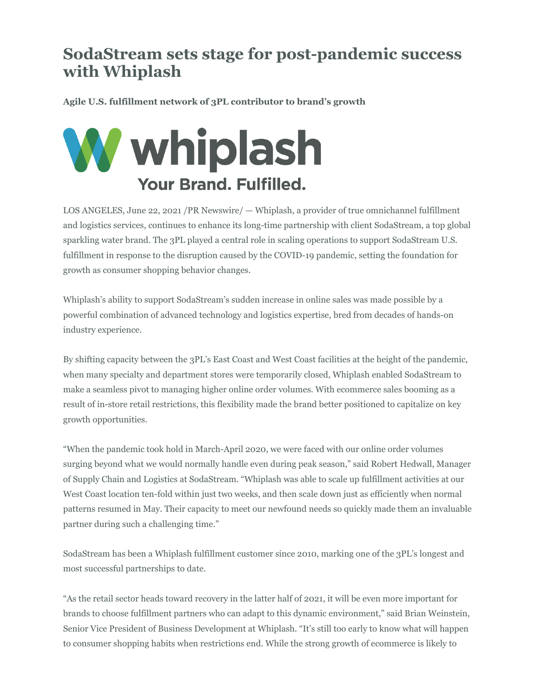## **SodaStream sets stage for post-pandemic success with Whiplash**

**Agile U.S. fulfillment network of 3PL contributor to brand's growth**



LOS ANGELES, June 22, 2021 /PR Newswire/ — Whiplash, a provider of true omnichannel fulfillment and logistics services, continues to enhance its long-time partnership with client SodaStream, a top global sparkling water brand. The 3PL played a central role in scaling operations to support SodaStream U.S. fulfillment in response to the disruption caused by the COVID-19 pandemic, setting the foundation for growth as consumer shopping behavior changes.

Whiplash's ability to support SodaStream's sudden increase in online sales was made possible by a powerful combination of advanced technology and logistics expertise, bred from decades of hands-on industry experience.

By shifting capacity between the 3PL's East Coast and West Coast facilities at the height of the pandemic, when many specialty and department stores were temporarily closed, Whiplash enabled SodaStream to make a seamless pivot to managing higher online order volumes. With ecommerce sales booming as a result of in-store retail restrictions, this flexibility made the brand better positioned to capitalize on key growth opportunities.

"When the pandemic took hold in March-April 2020, we were faced with our online order volumes surging beyond what we would normally handle even during peak season," said Robert Hedwall, Manager of Supply Chain and Logistics at SodaStream. "Whiplash was able to scale up fulfillment activities at our West Coast location ten-fold within just two weeks, and then scale down just as efficiently when normal patterns resumed in May. Their capacity to meet our newfound needs so quickly made them an invaluable partner during such a challenging time."

SodaStream has been a Whiplash fulfillment customer since 2010, marking one of the 3PL's longest and most successful partnerships to date.

"As the retail sector heads toward recovery in the latter half of 2021, it will be even more important for brands to choose fulfillment partners who can adapt to this dynamic environment," said Brian Weinstein, Senior Vice President of Business Development at Whiplash. "It's still too early to know what will happen to consumer shopping habits when restrictions end. While the strong growth of ecommerce is likely to